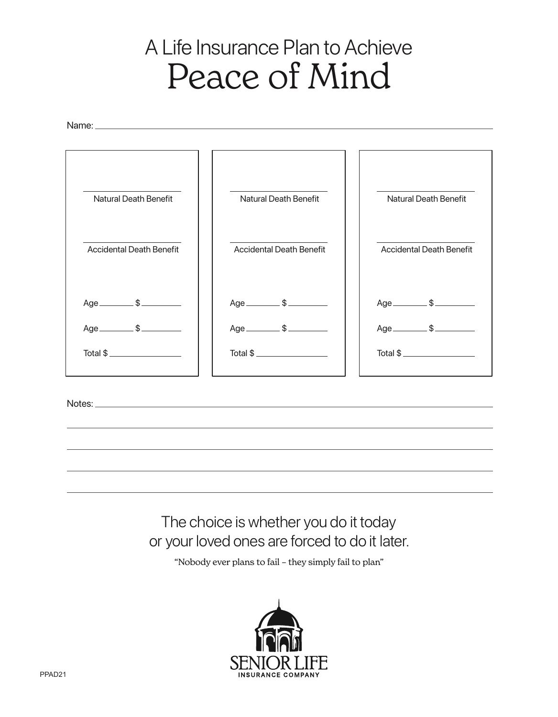## A Life Insurance Plan to Achieve Peace of Mind

Name:



The choice is whether you do it today or your loved ones are forced to do it later.

"Nobody ever plans to fail – they simply fail to plan"